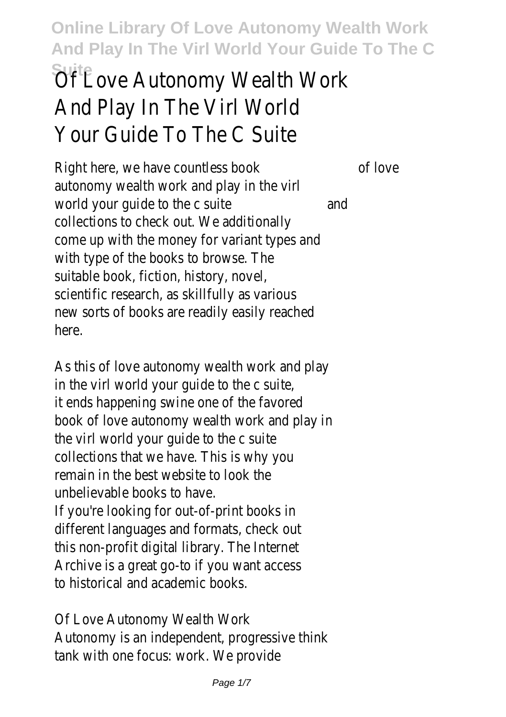# **SuitEove Autonomy Wealth Work** And Play In The Virl World Your Guide To The C Suite

Right here, we have countless book of love autonomy wealth work and play in the virl world your quide to the c suite and collections to check out. We additionally come up with the money for variant types and with type of the books to browse. The suitable book, fiction, history, novel, scientific research, as skillfully as various new sorts of books are readily easily reached here.

As this of love autonomy wealth work and play in the virl world your guide to the c suite, it ends happening swine one of the favored book of love autonomy wealth work and play in the virl world your guide to the c suite collections that we have. This is why you remain in the best website to look the unbelievable books to have. If you're looking for out-of-print books in different languages and formats, check out this non-profit digital library. The Internet Archive is a great go-to if you want access to historical and academic books.

Of Love Autonomy Wealth Work Autonomy is an independent, progressive think tank with one focus: work. We provide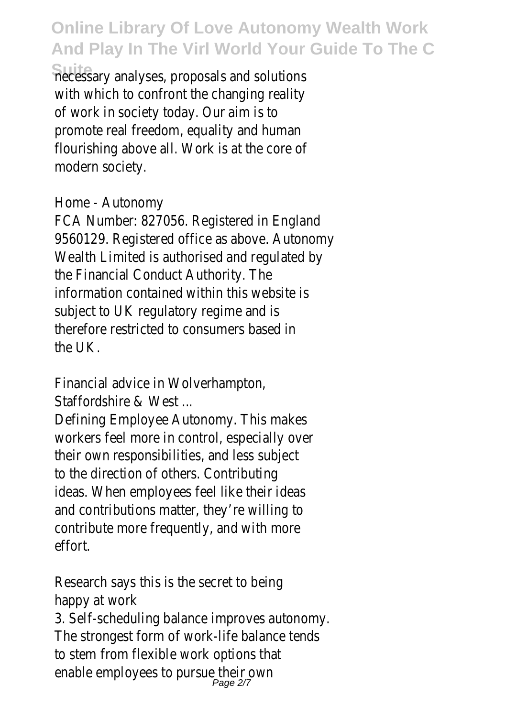necessary analyses, proposals and solutions with which to confront the changing reality of work in society today. Our aim is to promote real freedom, equality and human flourishing above all. Work is at the core of modern society.

#### Home - Autonomy

FCA Number: 827056. Registered in England 9560129. Registered office as above. Autonomy Wealth Limited is authorised and regulated by the Financial Conduct Authority. The information contained within this website is subject to UK regulatory regime and is therefore restricted to consumers based in the UK.

Financial advice in Wolverhampton,

Staffordshire & West ...

Defining Employee Autonomy. This makes workers feel more in control, especially over their own responsibilities, and less subject to the direction of others. Contributing ideas. When employees feel like their ideas and contributions matter, they're willing to contribute more frequently, and with more effort.

Research says this is the secret to being happy at work

3. Self-scheduling balance improves autonomy. The strongest form of work-life balance tends to stem from flexible work options that enable employees to pursue their own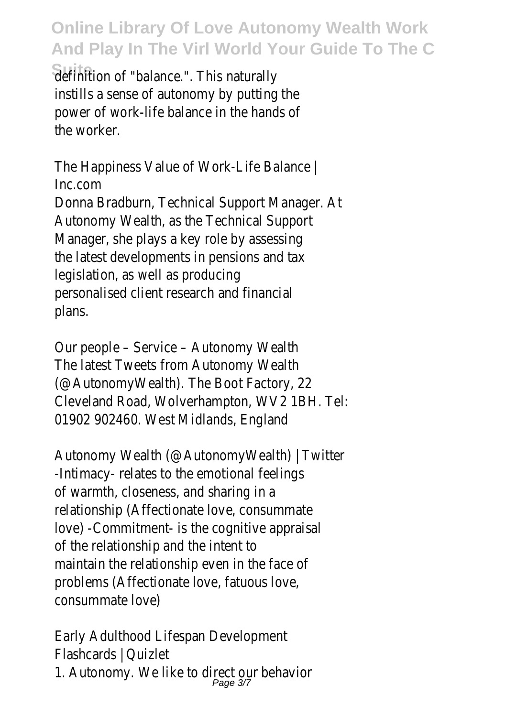definition of "balance.". This naturally instills a sense of autonomy by putting the power of work-life balance in the hands of the worker.

The Happiness Value of Work-Life Balance | Inc.com Donna Bradburn, Technical Support Manager. At Autonomy Wealth, as the Technical Support Manager, she plays a key role by assessing the latest developments in pensions and tax legislation, as well as producing personalised client research and financial plans.

Our people – Service – Autonomy Wealth The latest Tweets from Autonomy Wealth (@AutonomyWealth). The Boot Factory, 22 Cleveland Road, Wolverhampton, WV2 1BH. Tel: 01902 902460. West Midlands, England

Autonomy Wealth (@AutonomyWealth) | Twitter -Intimacy- relates to the emotional feelings of warmth, closeness, and sharing in a relationship (Affectionate love, consummate love) -Commitment- is the cognitive appraisal of the relationship and the intent to maintain the relationship even in the face of problems (Affectionate love, fatuous love, consummate love)

Early Adulthood Lifespan Development Flashcards | Quizlet 1. Autonomy. We like to direct our behavior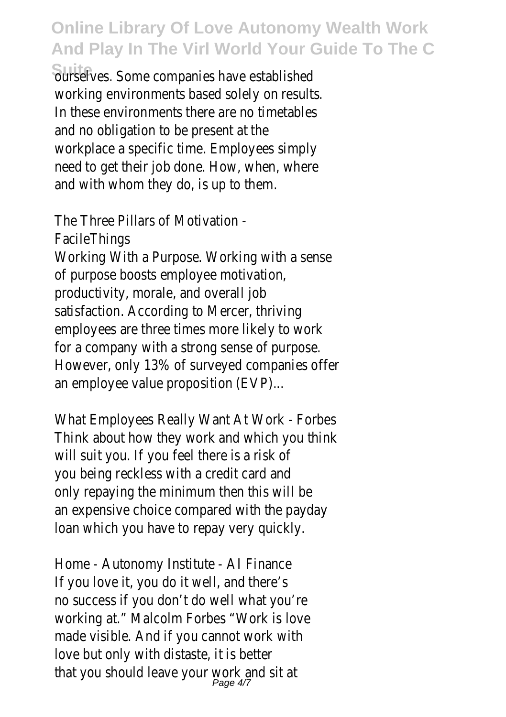ourselves. Some companies have established working environments based solely on results. In these environments there are no timetables and no obligation to be present at the workplace a specific time. Employees simply need to get their job done. How, when, where and with whom they do, is up to them.

The Three Pillars of Motivation - **FacileThings** Working With a Purpose. Working with a sense of purpose boosts employee motivation, productivity, morale, and overall job satisfaction. According to Mercer, thriving employees are three times more likely to work for a company with a strong sense of purpose. However, only 13% of surveyed companies offer an employee value proposition (EVP)...

What Employees Really Want At Work - Forbes Think about how they work and which you think will suit you. If you feel there is a risk of you being reckless with a credit card and only repaying the minimum then this will be an expensive choice compared with the payday loan which you have to repay very quickly.

Home - Autonomy Institute - AI Finance If you love it, you do it well, and there's no success if you don't do well what you're working at." Malcolm Forbes "Work is love made visible. And if you cannot work with love but only with distaste, it is better that you should leave your work and sit at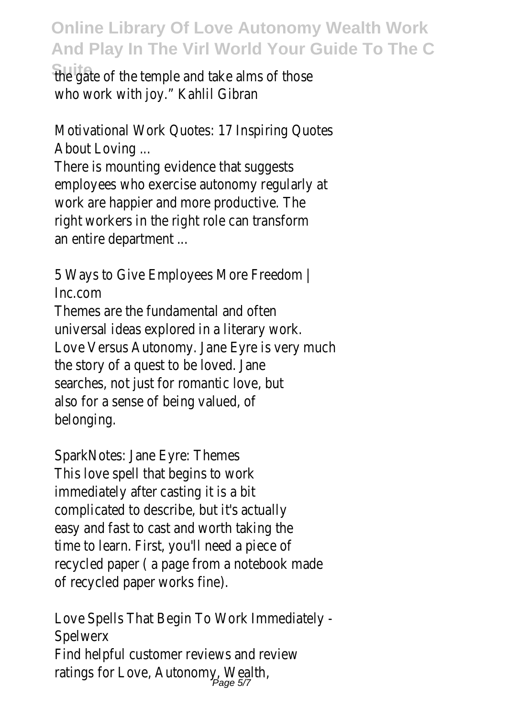the gate of the temple and take alms of those who work with joy." Kahlil Gibran

Motivational Work Quotes: 17 Inspiring Quotes About Loving ...

There is mounting evidence that suggests employees who exercise autonomy regularly at work are happier and more productive. The right workers in the right role can transform an entire department ...

5 Ways to Give Employees More Freedom | Inc.com

Themes are the fundamental and often universal ideas explored in a literary work. Love Versus Autonomy. Jane Eyre is very much the story of a quest to be loved. Jane searches, not just for romantic love, but also for a sense of being valued, of belonging.

SparkNotes: Jane Eyre: Themes This love spell that begins to work immediately after casting it is a bit complicated to describe, but it's actually easy and fast to cast and worth taking the time to learn. First, you'll need a piece of recycled paper ( a page from a notebook made of recycled paper works fine).

Love Spells That Begin To Work Immediately - Spelwerx Find helpful customer reviews and review ratings for Love, Autonomy, Wealth,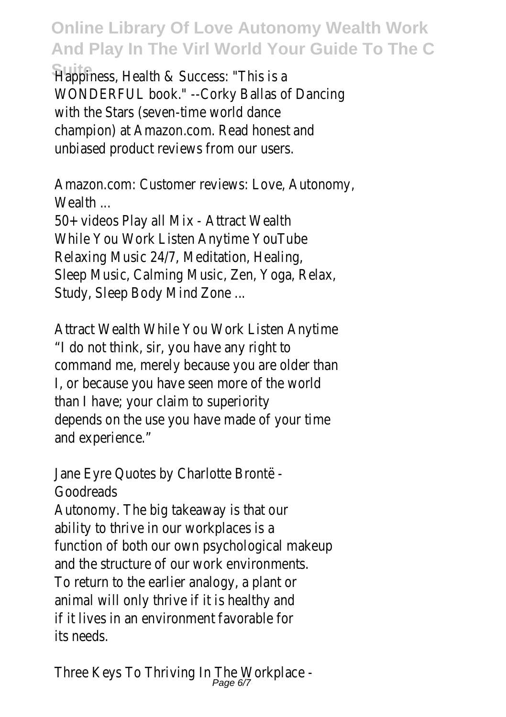Happiness, Health & Success: "This is a WONDERFUL book." --Corky Ballas of Dancing with the Stars (seven-time world dance champion) at Amazon.com. Read honest and unbiased product reviews from our users.

Amazon.com: Customer reviews: Love, Autonomy, Wealth ...

50+ videos Play all Mix - Attract Wealth While You Work Listen Anytime YouTube Relaxing Music 24/7, Meditation, Healing, Sleep Music, Calming Music, Zen, Yoga, Relax, Study, Sleep Body Mind Zone ...

Attract Wealth While You Work Listen Anytime "I do not think, sir, you have any right to command me, merely because you are older than I, or because you have seen more of the world than I have; your claim to superiority depends on the use you have made of your time and experience."

Jane Eyre Quotes by Charlotte Brontë - Goodreads

Autonomy. The big takeaway is that our ability to thrive in our workplaces is a function of both our own psychological makeup and the structure of our work environments. To return to the earlier analogy, a plant or animal will only thrive if it is healthy and if it lives in an environment favorable for its needs.

Three Keys To Thriving In The Workplace -